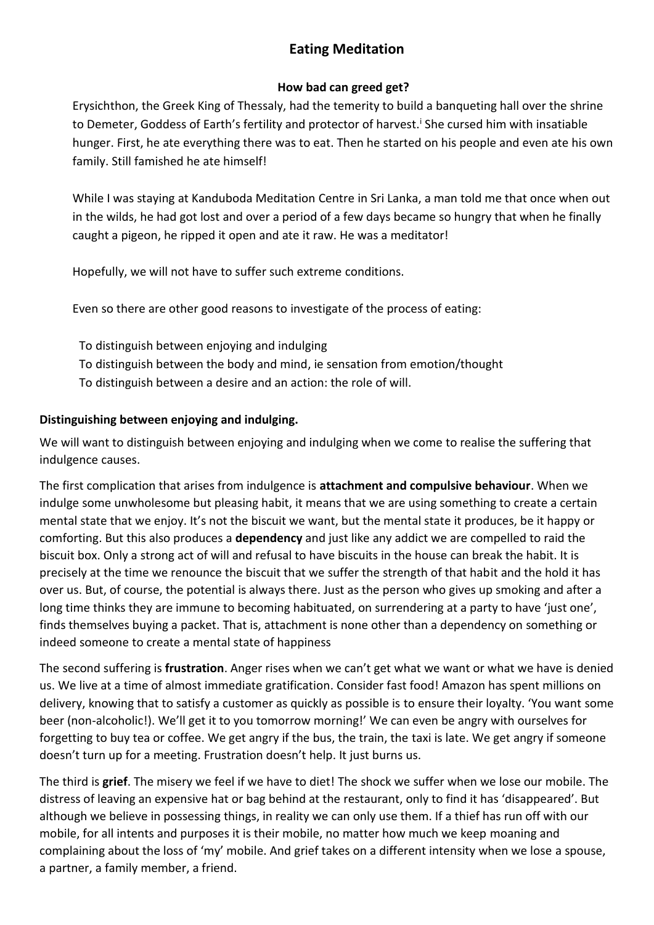# **Eating Meditation**

### **How bad can greed get?**

Erysichthon, the Greek King of Thessaly, had the temerity to build a banqueting hall over the shrine to Demeter, Goddess of Earth's fertility and protector of harvest.<sup>i</sup> She cursed him with insatiable hunger. First, he ate everything there was to eat. Then he started on his people and even ate his own family. Still famished he ate himself!

While I was staying at Kanduboda Meditation Centre in Sri Lanka, a man told me that once when out in the wilds, he had got lost and over a period of a few days became so hungry that when he finally caught a pigeon, he ripped it open and ate it raw. He was a meditator!

Hopefully, we will not have to suffer such extreme conditions.

Even so there are other good reasons to investigate of the process of eating:

To distinguish between enjoying and indulging To distinguish between the body and mind, ie sensation from emotion/thought To distinguish between a desire and an action: the role of will.

### **Distinguishing between enjoying and indulging.**

We will want to distinguish between enjoying and indulging when we come to realise the suffering that indulgence causes.

The first complication that arises from indulgence is **attachment and compulsive behaviour**. When we indulge some unwholesome but pleasing habit, it means that we are using something to create a certain mental state that we enjoy. It's not the biscuit we want, but the mental state it produces, be it happy or comforting. But this also produces a **dependency** and just like any addict we are compelled to raid the biscuit box. Only a strong act of will and refusal to have biscuits in the house can break the habit. It is precisely at the time we renounce the biscuit that we suffer the strength of that habit and the hold it has over us. But, of course, the potential is always there. Just as the person who gives up smoking and after a long time thinks they are immune to becoming habituated, on surrendering at a party to have 'just one', finds themselves buying a packet. That is, attachment is none other than a dependency on something or indeed someone to create a mental state of happiness

The second suffering is **frustration**. Anger rises when we can't get what we want or what we have is denied us. We live at a time of almost immediate gratification. Consider fast food! Amazon has spent millions on delivery, knowing that to satisfy a customer as quickly as possible is to ensure their loyalty. 'You want some beer (non-alcoholic!). We'll get it to you tomorrow morning!' We can even be angry with ourselves for forgetting to buy tea or coffee. We get angry if the bus, the train, the taxi is late. We get angry if someone doesn't turn up for a meeting. Frustration doesn't help. It just burns us.

The third is **grief**. The misery we feel if we have to diet! The shock we suffer when we lose our mobile. The distress of leaving an expensive hat or bag behind at the restaurant, only to find it has 'disappeared'. But although we believe in possessing things, in reality we can only use them. If a thief has run off with our mobile, for all intents and purposes it is their mobile, no matter how much we keep moaning and complaining about the loss of 'my' mobile. And grief takes on a different intensity when we lose a spouse, a partner, a family member, a friend.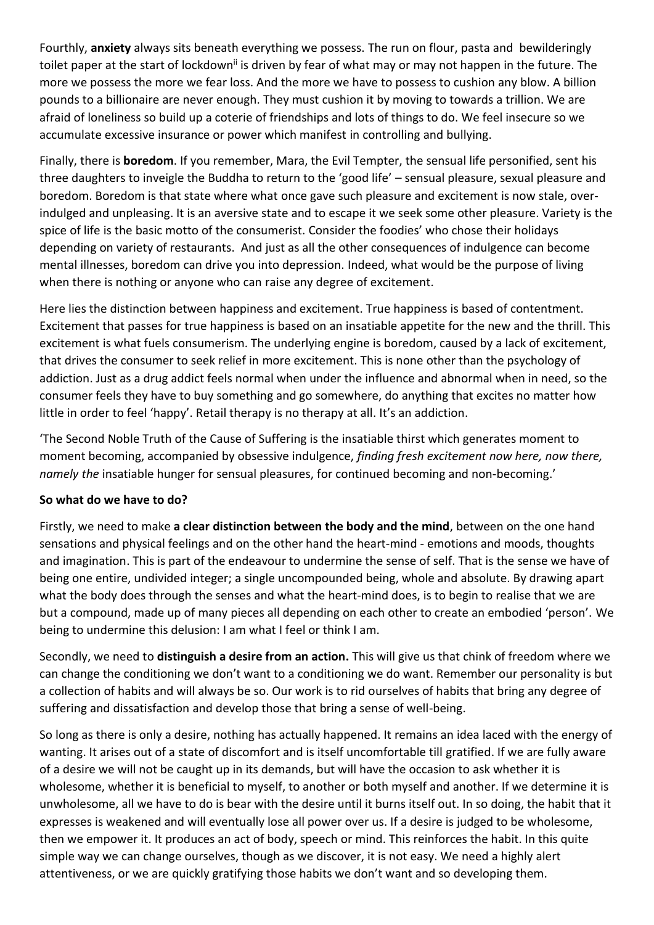Fourthly, **anxiety** always sits beneath everything we possess. The run on flour, pasta and bewilderingly toilet paper at the start of lockdown<sup>ii</sup> is driven by fear of what may or may not happen in the future. The more we possess the more we fear loss. And the more we have to possess to cushion any blow. A billion pounds to a billionaire are never enough. They must cushion it by moving to towards a trillion. We are afraid of loneliness so build up a coterie of friendships and lots of things to do. We feel insecure so we accumulate excessive insurance or power which manifest in controlling and bullying.

Finally, there is **boredom**. If you remember, Mara, the Evil Tempter, the sensual life personified, sent his three daughters to inveigle the Buddha to return to the 'good life' – sensual pleasure, sexual pleasure and boredom. Boredom is that state where what once gave such pleasure and excitement is now stale, overindulged and unpleasing. It is an aversive state and to escape it we seek some other pleasure. Variety is the spice of life is the basic motto of the consumerist. Consider the foodies' who chose their holidays depending on variety of restaurants. And just as all the other consequences of indulgence can become mental illnesses, boredom can drive you into depression. Indeed, what would be the purpose of living when there is nothing or anyone who can raise any degree of excitement.

Here lies the distinction between happiness and excitement. True happiness is based of contentment. Excitement that passes for true happiness is based on an insatiable appetite for the new and the thrill. This excitement is what fuels consumerism. The underlying engine is boredom, caused by a lack of excitement, that drives the consumer to seek relief in more excitement. This is none other than the psychology of addiction. Just as a drug addict feels normal when under the influence and abnormal when in need, so the consumer feels they have to buy something and go somewhere, do anything that excites no matter how little in order to feel 'happy'. Retail therapy is no therapy at all. It's an addiction.

'The Second Noble Truth of the Cause of Suffering is the insatiable thirst which generates moment to moment becoming, accompanied by obsessive indulgence, *finding fresh excitement now here, now there, namely the* insatiable hunger for sensual pleasures, for continued becoming and non-becoming.'

### **So what do we have to do?**

Firstly, we need to make **a clear distinction between the body and the mind**, between on the one hand sensations and physical feelings and on the other hand the heart-mind - emotions and moods, thoughts and imagination. This is part of the endeavour to undermine the sense of self. That is the sense we have of being one entire, undivided integer; a single uncompounded being, whole and absolute. By drawing apart what the body does through the senses and what the heart-mind does, is to begin to realise that we are but a compound, made up of many pieces all depending on each other to create an embodied 'person'. We being to undermine this delusion: I am what I feel or think I am.

Secondly, we need to **distinguish a desire from an action.** This will give us that chink of freedom where we can change the conditioning we don't want to a conditioning we do want. Remember our personality is but a collection of habits and will always be so. Our work is to rid ourselves of habits that bring any degree of suffering and dissatisfaction and develop those that bring a sense of well-being.

So long as there is only a desire, nothing has actually happened. It remains an idea laced with the energy of wanting. It arises out of a state of discomfort and is itself uncomfortable till gratified. If we are fully aware of a desire we will not be caught up in its demands, but will have the occasion to ask whether it is wholesome, whether it is beneficial to myself, to another or both myself and another. If we determine it is unwholesome, all we have to do is bear with the desire until it burns itself out. In so doing, the habit that it expresses is weakened and will eventually lose all power over us. If a desire is judged to be wholesome, then we empower it. It produces an act of body, speech or mind. This reinforces the habit. In this quite simple way we can change ourselves, though as we discover, it is not easy. We need a highly alert attentiveness, or we are quickly gratifying those habits we don't want and so developing them.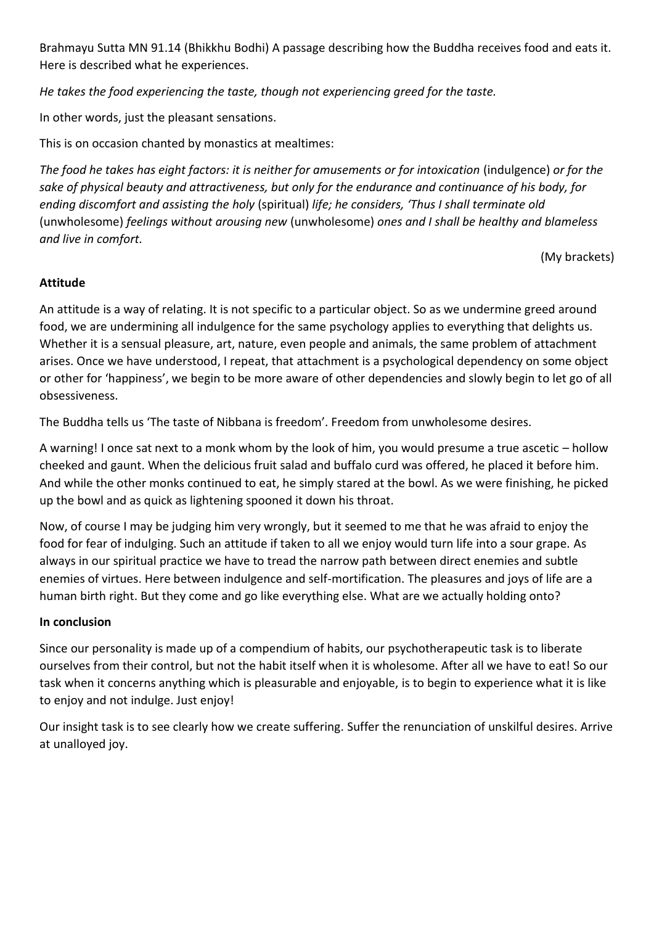Brahmayu Sutta MN 91.14 (Bhikkhu Bodhi) A passage describing how the Buddha receives food and eats it. Here is described what he experiences.

*He takes the food experiencing the taste, though not experiencing greed for the taste.*

In other words, just the pleasant sensations.

This is on occasion chanted by monastics at mealtimes:

*The food he takes has eight factors: it is neither for amusements or for intoxication* (indulgence) *or for the sake of physical beauty and attractiveness, but only for the endurance and continuance of his body, for ending discomfort and assisting the holy* (spiritual) *life; he considers, 'Thus I shall terminate old* (unwholesome) *feelings without arousing new* (unwholesome) *ones and I shall be healthy and blameless and live in comfort.*

(My brackets)

### **Attitude**

An attitude is a way of relating. It is not specific to a particular object. So as we undermine greed around food, we are undermining all indulgence for the same psychology applies to everything that delights us. Whether it is a sensual pleasure, art, nature, even people and animals, the same problem of attachment arises. Once we have understood, I repeat, that attachment is a psychological dependency on some object or other for 'happiness', we begin to be more aware of other dependencies and slowly begin to let go of all obsessiveness.

The Buddha tells us 'The taste of Nibbana is freedom'. Freedom from unwholesome desires.

A warning! I once sat next to a monk whom by the look of him, you would presume a true ascetic – hollow cheeked and gaunt. When the delicious fruit salad and buffalo curd was offered, he placed it before him. And while the other monks continued to eat, he simply stared at the bowl. As we were finishing, he picked up the bowl and as quick as lightening spooned it down his throat.

Now, of course I may be judging him very wrongly, but it seemed to me that he was afraid to enjoy the food for fear of indulging. Such an attitude if taken to all we enjoy would turn life into a sour grape. As always in our spiritual practice we have to tread the narrow path between direct enemies and subtle enemies of virtues. Here between indulgence and self-mortification. The pleasures and joys of life are a human birth right. But they come and go like everything else. What are we actually holding onto?

### **In conclusion**

Since our personality is made up of a compendium of habits, our psychotherapeutic task is to liberate ourselves from their control, but not the habit itself when it is wholesome. After all we have to eat! So our task when it concerns anything which is pleasurable and enjoyable, is to begin to experience what it is like to enjoy and not indulge. Just enjoy!

Our insight task is to see clearly how we create suffering. Suffer the renunciation of unskilful desires. Arrive at unalloyed joy.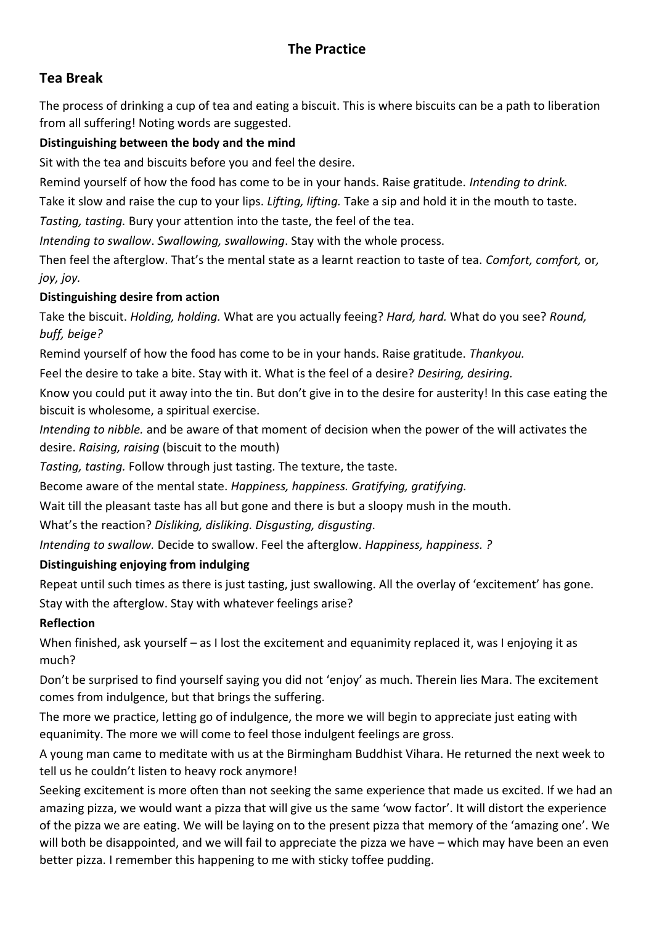# **Tea Break**

The process of drinking a cup of tea and eating a biscuit. This is where biscuits can be a path to liberation from all suffering! Noting words are suggested.

# **Distinguishing between the body and the mind**

Sit with the tea and biscuits before you and feel the desire.

Remind yourself of how the food has come to be in your hands. Raise gratitude. *Intending to drink.* 

Take it slow and raise the cup to your lips. *Lifting, lifting.* Take a sip and hold it in the mouth to taste.

*Tasting, tasting.* Bury your attention into the taste, the feel of the tea.

*Intending to swallow*. *Swallowing, swallowing*. Stay with the whole process.

Then feel the afterglow. That's the mental state as a learnt reaction to taste of tea. *Comfort, comfort,* or*, joy, joy.*

# **Distinguishing desire from action**

Take the biscuit. *Holding, holding.* What are you actually feeing? *Hard, hard.* What do you see? *Round, buff, beige?*

Remind yourself of how the food has come to be in your hands. Raise gratitude. *Thankyou.*

Feel the desire to take a bite. Stay with it. What is the feel of a desire? *Desiring, desiring.*

Know you could put it away into the tin. But don't give in to the desire for austerity! In this case eating the biscuit is wholesome, a spiritual exercise.

*Intending to nibble.* and be aware of that moment of decision when the power of the will activates the desire. *Raising, raising* (biscuit to the mouth)

*Tasting, tasting.* Follow through just tasting. The texture, the taste.

Become aware of the mental state. *Happiness, happiness. Gratifying, gratifying.*

Wait till the pleasant taste has all but gone and there is but a sloopy mush in the mouth.

What's the reaction? *Disliking, disliking. Disgusting, disgusting.*

*Intending to swallow.* Decide to swallow. Feel the afterglow. *Happiness, happiness. ?*

# **Distinguishing enjoying from indulging**

Repeat until such times as there is just tasting, just swallowing. All the overlay of 'excitement' has gone. Stay with the afterglow. Stay with whatever feelings arise?

# **Reflection**

When finished, ask yourself – as I lost the excitement and equanimity replaced it, was I enjoying it as much?

Don't be surprised to find yourself saying you did not 'enjoy' as much. Therein lies Mara. The excitement comes from indulgence, but that brings the suffering.

The more we practice, letting go of indulgence, the more we will begin to appreciate just eating with equanimity. The more we will come to feel those indulgent feelings are gross.

A young man came to meditate with us at the Birmingham Buddhist Vihara. He returned the next week to tell us he couldn't listen to heavy rock anymore!

Seeking excitement is more often than not seeking the same experience that made us excited. If we had an amazing pizza, we would want a pizza that will give us the same 'wow factor'. It will distort the experience of the pizza we are eating. We will be laying on to the present pizza that memory of the 'amazing one'. We will both be disappointed, and we will fail to appreciate the pizza we have – which may have been an even better pizza. I remember this happening to me with sticky toffee pudding.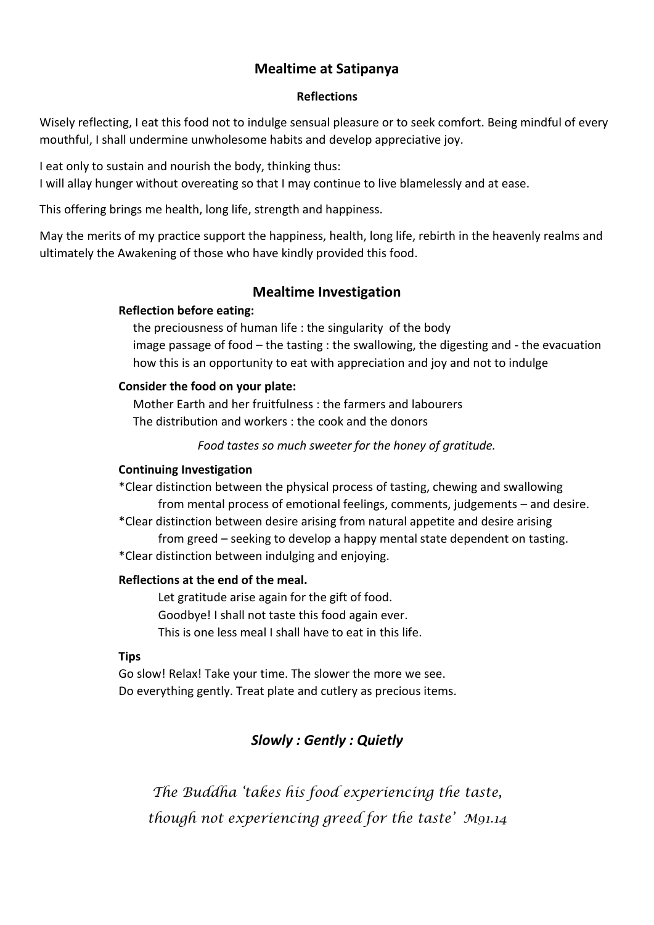### **Mealtime at Satipanya**

#### **Reflections**

Wisely reflecting, I eat this food not to indulge sensual pleasure or to seek comfort. Being mindful of every mouthful, I shall undermine unwholesome habits and develop appreciative joy.

I eat only to sustain and nourish the body, thinking thus:

I will allay hunger without overeating so that I may continue to live blamelessly and at ease.

This offering brings me health, long life, strength and happiness.

May the merits of my practice support the happiness, health, long life, rebirth in the heavenly realms and ultimately the Awakening of those who have kindly provided this food.

### **Mealtime Investigation**

### **Reflection before eating:**

the preciousness of human life : the singularity of the body image passage of food – the tasting : the swallowing, the digesting and - the evacuation how this is an opportunity to eat with appreciation and joy and not to indulge

### **Consider the food on your plate:**

Mother Earth and her fruitfulness : the farmers and labourers The distribution and workers : the cook and the donors

*Food tastes so much sweeter for the honey of gratitude.*

#### **Continuing Investigation**

\*Clear distinction between the physical process of tasting, chewing and swallowing from mental process of emotional feelings, comments, judgements – and desire.

\*Clear distinction between desire arising from natural appetite and desire arising from greed – seeking to develop a happy mental state dependent on tasting.

\*Clear distinction between indulging and enjoying.

### **Reflections at the end of the meal.**

Let gratitude arise again for the gift of food. Goodbye! I shall not taste this food again ever. This is one less meal I shall have to eat in this life.

### **Tips**

Go slow! Relax! Take your time. The slower the more we see. Do everything gently. Treat plate and cutlery as precious items.

# *Slowly : Gently : Quietly*

*The Buddha 'takes his food experiencing the taste, though not experiencing greed for the taste' M91.14*